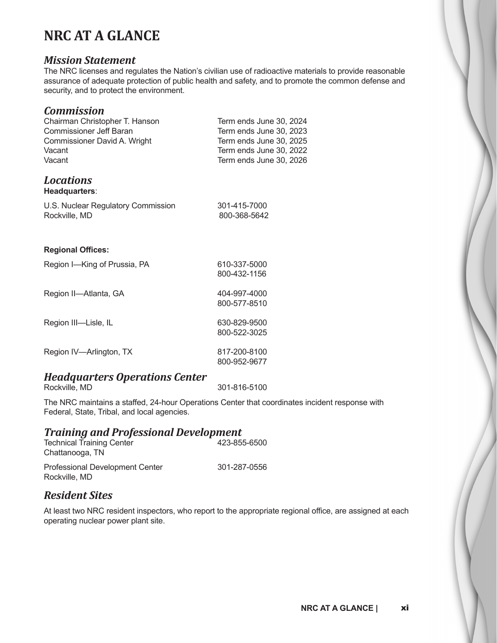## **NRC AT A GLANCE**

#### *Mission Statement*

The NRC licenses and regulates the Nation's civilian use of radioactive materials to provide reasonable assurance of adequate protection of public health and safety, and to promote the common defense and security, and to protect the environment.

#### *Commission*

| Chairman Christopher T. Hanson<br>Commissioner Jeff Baran<br>Commissioner David A. Wright<br>Vacant<br>Vacant | Term ends June 30, 2024<br>Term ends June 30, 2023<br>Term ends June 30, 2025<br>Term ends June 30, 2022<br>Term ends June 30, 2026 |
|---------------------------------------------------------------------------------------------------------------|-------------------------------------------------------------------------------------------------------------------------------------|
| <b>Locations</b><br>Headquarters:                                                                             |                                                                                                                                     |
| U.S. Nuclear Regulatory Commission<br>Rockville, MD                                                           | 301-415-7000<br>800-368-5642                                                                                                        |
| <b>Regional Offices:</b>                                                                                      |                                                                                                                                     |
| Region I-King of Prussia, PA                                                                                  | 610-337-5000<br>800-432-1156                                                                                                        |
| Region II-Atlanta, GA                                                                                         | 404-997-4000<br>800-577-8510                                                                                                        |
| Region III-Lisle, IL                                                                                          | 630-829-9500<br>800-522-3025                                                                                                        |
| Region IV-Arlington, TX                                                                                       | 817-200-8100<br>800-952-9677                                                                                                        |
|                                                                                                               |                                                                                                                                     |

# *Headquarters Operations Center*

301-816-5100

The NRC maintains a staffed, 24-hour Operations Center that coordinates incident response with Federal, State, Tribal, and local agencies.

#### *Training and Professional Development* Technical Training Center

| Technical Training Center<br>Chattanooga, TN            | 423-099-0900 |
|---------------------------------------------------------|--------------|
| <b>Professional Development Center</b><br>Rockville, MD | 301-287-0556 |

### *Resident Sites*

At least two NRC resident inspectors, who report to the appropriate regional office, are assigned at each operating nuclear power plant site.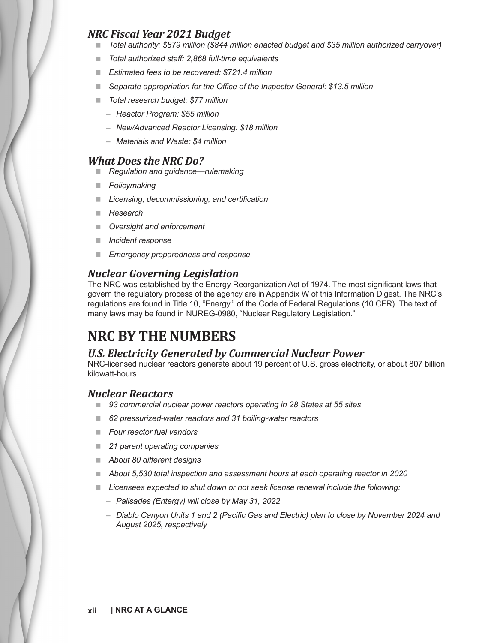### *NRC Fiscal Year 2021 Budget*

- *Total authority: \$879 million (\$844 million enacted budget and \$35 million authorized carryover)*
- *Total authorized staff: 2,868 full-time equivalents*
- *Estimated fees to be recovered: \$721.4 million*
- *Separate appropriation for the Office of the Inspector General: \$13.5 million*
- *Total research budget: \$77 million*
	- *Reactor Program: \$55 million*
	- *New/Advanced Reactor Licensing: \$18 million*
	- *Materials and Waste: \$4 million*

#### *What Does the NRC Do?*

- *Regulation and guidance—rulemaking*
- *Policymaking*
- *Licensing, decommissioning, and certification*
- *Research*
- *Oversight and enforcement*
- *Incident response*
- *Emergency preparedness and response*

### *Nuclear Governing Legislation*

The NRC was established by the Energy Reorganization Act of 1974. The most significant laws that govern the regulatory process of the agency are in Appendix W of this Information Digest. The NRC's regulations are found in Title 10, "Energy," of the Code of Federal Regulations (10 CFR). The text of many laws may be found in NUREG-0980, "Nuclear Regulatory Legislation."

## **NRC BY THE NUMBERS**

#### *U.S. Electricity Generated by Commercial Nuclear Power*

NRC-licensed nuclear reactors generate about 19 percent of U.S. gross electricity, or about 807 billion kilowatt-hours.

#### *Nuclear Reactors*

- *93 commercial nuclear power reactors operating in 28 States at 55 sites*
- *62 pressurized-water reactors and 31 boiling-water reactors*
- *Four reactor fuel vendors*
- *21 parent operating companies*
- *About 80 different designs*
- *About 5,530 total inspection and assessment hours at each operating reactor in 2020*
- *Licensees expected to shut down or not seek license renewal include the following:*
	- *Palisades (Entergy) will close by May 31, 2022*
	- *Diablo Canyon Units 1 and 2 (Pacific Gas and Electric) plan to close by November 2024 and August 2025, respectively*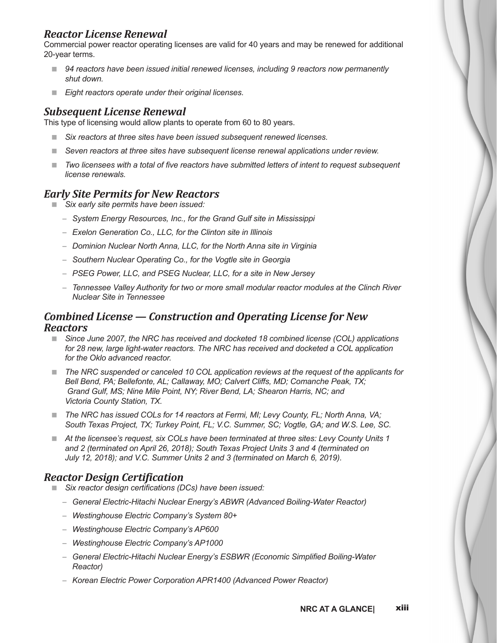### *Reactor License Renewal*

Commercial power reactor operating licenses are valid for 40 years and may be renewed for additional 20-year terms.

- *94 reactors have been issued initial renewed licenses, including 9 reactors now permanently shut down.*
- *Eight reactors operate under their original licenses.*

#### *Subsequent License Renewal*

This type of licensing would allow plants to operate from 60 to 80 years.

- *Six reactors at three sites have been issued subsequent renewed licenses.*
- *Seven reactors at three sites have subsequent license renewal applications under review.*
- Two licensees with a total of five reactors have submitted letters of intent to request subsequent *license renewals.*

#### *Early Site Permits for New Reactors*

- *Six early site permits have been issued:*
	- *System Energy Resources, Inc., for the Grand Gulf site in Mississippi*
	- *Exelon Generation Co., LLC, for the Clinton site in Illinois*
	- *Dominion Nuclear North Anna, LLC, for the North Anna site in Virginia*
	- *Southern Nuclear Operating Co., for the Vogtle site in Georgia*
	- *PSEG Power, LLC, and PSEG Nuclear, LLC, for a site in New Jersey*
	- *Tennessee Valley Authority for two or more small modular reactor modules at the Clinch River Nuclear Site in Tennessee*

#### *Combined License — Construction and Operating License for New Reactors*

- Since June 2007, the NRC has received and docketed 18 combined license (COL) applications for 28 new, large light-water reactors. The NRC has received and docketed a COL application *for the Oklo advanced reactor.*
- The NRC suspended or canceled 10 COL application reviews at the request of the applicants for *Bell Bend, PA; Bellefonte, AL; Callaway, MO; Calvert Cliffs, MD; Comanche Peak, TX; Grand Gulf, MS; Nine Mile Point, NY; River Bend, LA; Shearon Harris, NC; and Victoria County Station, TX.*
- The NRC has issued COLs for 14 reactors at Fermi, MI; Levy County, FL; North Anna, VA; *South Texas Project, TX; Turkey Point, FL; V.C. Summer, SC; Vogtle, GA; and W.S. Lee, SC.*
- *At the licensee's request, six COLs have been terminated at three sites: Levy County Units 1 and 2 (terminated on April 26, 2018); South Texas Project Units 3 and 4 (terminated on July 12, 2018); and V.C. Summer Units 2 and 3 (terminated on March 6, 2019).*

#### *Reactor Design Certification*

- *Six reactor design certifications (DCs) have been issued:*
	- *General Electric-Hitachi Nuclear Energy's ABWR (Advanced Boiling-Water Reactor)*
	- *Westinghouse Electric Company's System 80+*
	- *Westinghouse Electric Company's AP600*
	- *Westinghouse Electric Company's AP1000*
	- *General Electric-Hitachi Nuclear Energy's ESBWR (Economic Simplified Boiling-Water Reactor)*
	- *Korean Electric Power Corporation APR1400 (Advanced Power Reactor)*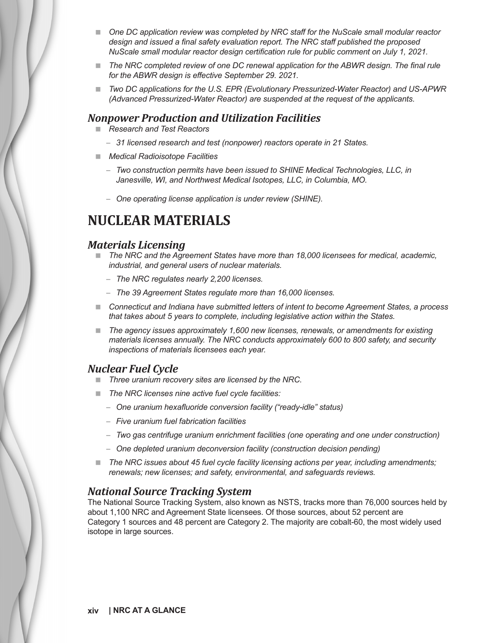- **Deap Brand** *DC application review was completed by NRC staff for the NuScale small modular reactor* **<b>n** *design and issued a final safety evaluation report. The NRC staff published the proposed NuScale small modular reactor design certification rule for public comment on July 1, 2021.*
- **The NRC completed review of one DC renewal application for the ABWR design. The final rule** *for the ABWR design is effective September 29. 2021.*
- Two DC applications for the U.S. EPR (Evolutionary Pressurized-Water Reactor) and US-APWR *(Advanced Pressurized-Water Reactor) are suspended at the request of the applicants.*

#### *Nonpower Production and Utilization Facilities*

- *Research and Test Reactors*
	- *31 licensed research and test (nonpower) reactors operate in 21 States.*
- *Medical Radioisotope Facilities*
	- *Two construction permits have been issued to SHINE Medical Technologies, LLC, in Janesville, WI, and Northwest Medical Isotopes, LLC, in Columbia, MO.*
	- *One operating license application is under review (SHINE).*

## **NUCLEAR MATERIALS**

#### *Materials Licensing*

- The NRC and the Agreement States have more than 18,000 licensees for medical, academic, *industrial, and general users of nuclear materials.*
	- *The NRC regulates nearly 2,200 licenses.*
	- *The 39 Agreement States regulate more than 16,000 licenses.*
- *Connecticut and Indiana have submitted letters of intent to become Agreement States, a process that takes about 5 years to complete, including legislative action within the States.*
- *The agency issues approximately 1,600 new licenses, renewals, or amendments for existing materials licenses annually. The NRC conducts approximately 600 to 800 safety, and security inspections of materials licensees each year.*

#### *Nuclear Fuel Cycle*

- *Three uranium recovery sites are licensed by the NRC.*
- *The NRC licenses nine active fuel cycle facilities:*
	- *One uranium hexafluoride conversion facility ("ready-idle" status)*
	- *Five uranium fuel fabrication facilities*
	- *Two gas centrifuge uranium enrichment facilities (one operating and one under construction)*
	- *One depleted uranium deconversion facility (construction decision pending)*
- The NRC issues about 45 fuel cycle facility licensing actions per year, including amendments; *renewals; new licenses; and safety, environmental, and safeguards reviews.*

#### *National Source Tracking System*

The National Source Tracking System, also known as NSTS, tracks more than 76,000 sources held by about 1,100 NRC and Agreement State licensees. Of those sources, about 52 percent are Category 1 sources and 48 percent are Category 2. The majority are cobalt-60, the most widely used isotope in large sources.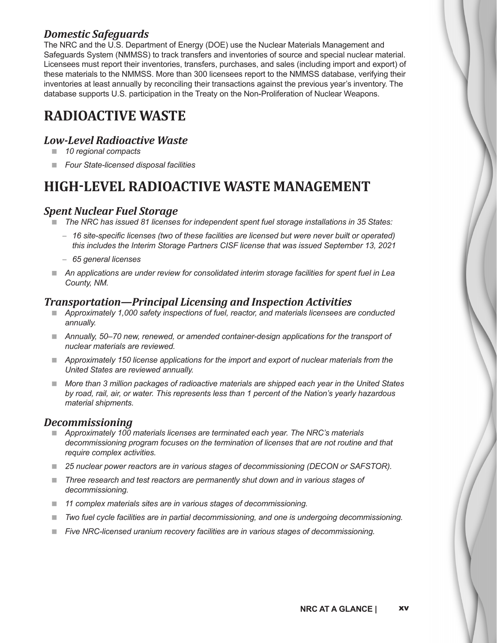### *Domestic Safeguards*

The NRC and the U.S. Department of Energy (DOE) use the Nuclear Materials Management and Safeguards System (NMMSS) to track transfers and inventories of source and special nuclear material. Licensees must report their inventories, transfers, purchases, and sales (including import and export) of these materials to the NMMSS. More than 300 licensees report to the NMMSS database, verifying their inventories at least annually by reconciling their transactions against the previous year's inventory. The database supports U.S. participation in the Treaty on the Non-Proliferation of Nuclear Weapons.

## **RADIOACTIVE WASTE**

### *Low-Level Radioactive Waste*

- *10 regional compacts*
- *Four State-licensed disposal facilities*

## **HIGH-LEVEL RADIOACTIVE WASTE MANAGEMENT**

### *Spent Nuclear Fuel Storage*

- *The NRC has issued 81 licenses for independent spent fuel storage installations in 35 States:*
	- *16 site-specific licenses (two of these facilities are licensed but were never built or operated) this includes the Interim Storage Partners CISF license that was issued September 13, 2021*
	- *65 general licenses*
- *An applications are under review for consolidated interim storage facilities for spent fuel in Lea County, NM.*

#### *Transportation—Principal Licensing and Inspection Activities*

- *Approximately 1,000 safety inspections of fuel, reactor, and materials licensees are conducted annually.*
- *Annually, 50–70 new, renewed, or amended container-design applications for the transport of nuclear materials are reviewed.*
- *Approximately 150 license applications for the import and export of nuclear materials from the United States are reviewed annually.*
- **More than 3 million packages of radioactive materials are shipped each year in the United States** *by road, rail, air, or water. This represents less than 1 percent of the Nation's yearly hazardous material shipments.*

#### *Decommissioning*

- *Approximately 100 materials licenses are terminated each year. The NRC's materials decommissioning program focuses on the termination of licenses that are not routine and that require complex activities.*
- *25 nuclear power reactors are in various stages of decommissioning (DECON or SAFSTOR).*
- Three research and test reactors are permanently shut down and in various stages of *decommissioning.*
- *11 complex materials sites are in various stages of decommissioning.*
- *Two fuel cycle facilities are in partial decommissioning, and one is undergoing decommissioning.*
- *Five NRC-licensed uranium recovery facilities are in various stages of decommissioning.*